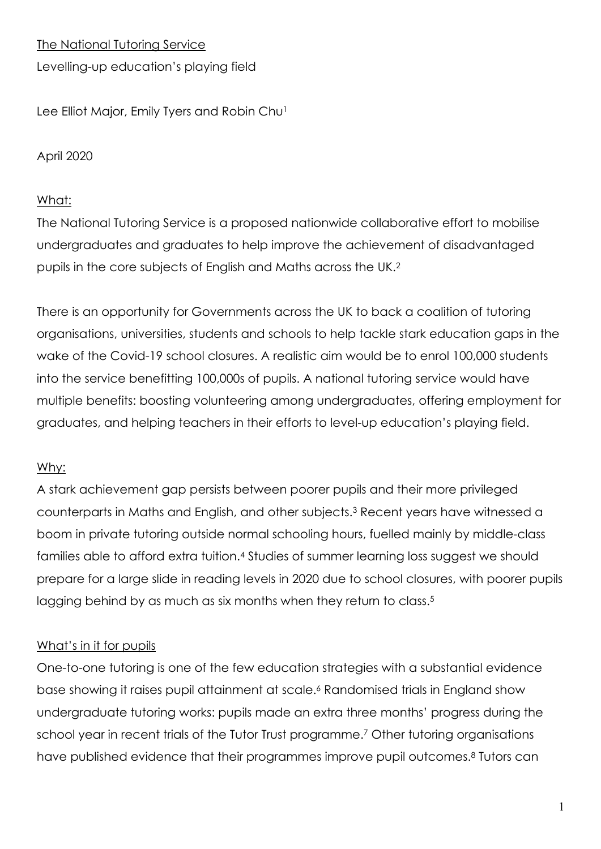The National Tutoring Service

Levelling-up education's playing field

Lee Elliot Major, Emily Tyers and Robin Chu<sup>1</sup>

#### April 2020

#### What:

The National Tutoring Service is a proposed nationwide collaborative effort to mobilise undergraduates and graduates to help improve the achievement of disadvantaged pupils in the core subjects of English and Maths across the UK.2

There is an opportunity for Governments across the UK to back a coalition of tutoring organisations, universities, students and schools to help tackle stark education gaps in the wake of the Covid-19 school closures. A realistic aim would be to enrol 100,000 students into the service benefitting 100,000s of pupils. A national tutoring service would have multiple benefits: boosting volunteering among undergraduates, offering employment for graduates, and helping teachers in their efforts to level-up education's playing field.

## Why:

A stark achievement gap persists between poorer pupils and their more privileged counterparts in Maths and English, and other subjects.3 Recent years have witnessed a boom in private tutoring outside normal schooling hours, fuelled mainly by middle-class families able to afford extra tuition.4 Studies of summer learning loss suggest we should prepare for a large slide in reading levels in 2020 due to school closures, with poorer pupils lagging behind by as much as six months when they return to class.<sup>5</sup>

## What's in it for pupils

One-to-one tutoring is one of the few education strategies with a substantial evidence base showing it raises pupil attainment at scale.6 Randomised trials in England show undergraduate tutoring works: pupils made an extra three months' progress during the school year in recent trials of the Tutor Trust programme.<sup>7</sup> Other tutoring organisations have published evidence that their programmes improve pupil outcomes.<sup>8</sup> Tutors can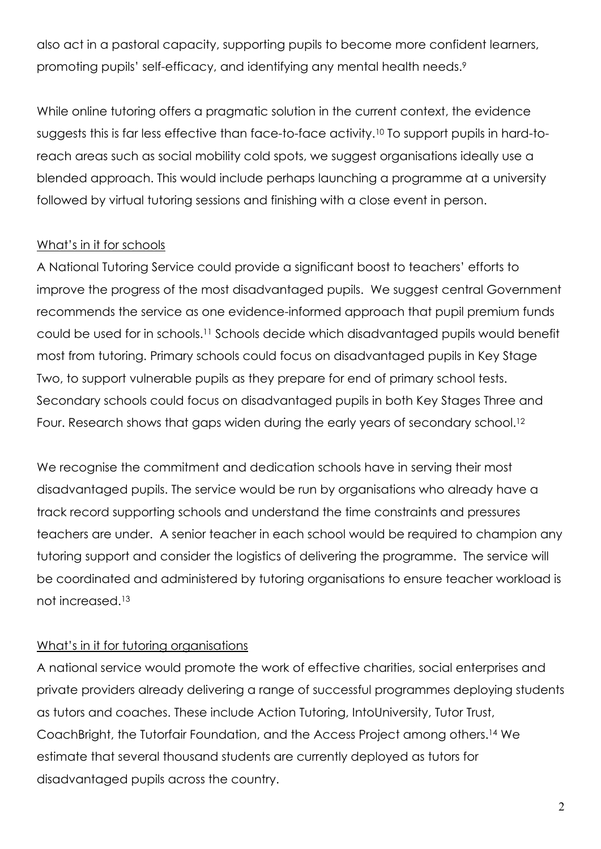also act in a pastoral capacity, supporting pupils to become more confident learners, promoting pupils' self-efficacy, and identifying any mental health needs.9

While online tutoring offers a pragmatic solution in the current context, the evidence suggests this is far less effective than face-to-face activity.10 To support pupils in hard-toreach areas such as social mobility cold spots, we suggest organisations ideally use a blended approach. This would include perhaps launching a programme at a university followed by virtual tutoring sessions and finishing with a close event in person.

## What's in it for schools

A National Tutoring Service could provide a significant boost to teachers' efforts to improve the progress of the most disadvantaged pupils. We suggest central Government recommends the service as one evidence-informed approach that pupil premium funds could be used for in schools.11 Schools decide which disadvantaged pupils would benefit most from tutoring. Primary schools could focus on disadvantaged pupils in Key Stage Two, to support vulnerable pupils as they prepare for end of primary school tests. Secondary schools could focus on disadvantaged pupils in both Key Stages Three and Four. Research shows that gaps widen during the early years of secondary school.12

We recognise the commitment and dedication schools have in serving their most disadvantaged pupils. The service would be run by organisations who already have a track record supporting schools and understand the time constraints and pressures teachers are under. A senior teacher in each school would be required to champion any tutoring support and consider the logistics of delivering the programme. The service will be coordinated and administered by tutoring organisations to ensure teacher workload is not increased.13

## What's in it for tutoring organisations

A national service would promote the work of effective charities, social enterprises and private providers already delivering a range of successful programmes deploying students as tutors and coaches. These include Action Tutoring, IntoUniversity, Tutor Trust, CoachBright, the Tutorfair Foundation, and the Access Project among others.14 We estimate that several thousand students are currently deployed as tutors for disadvantaged pupils across the country.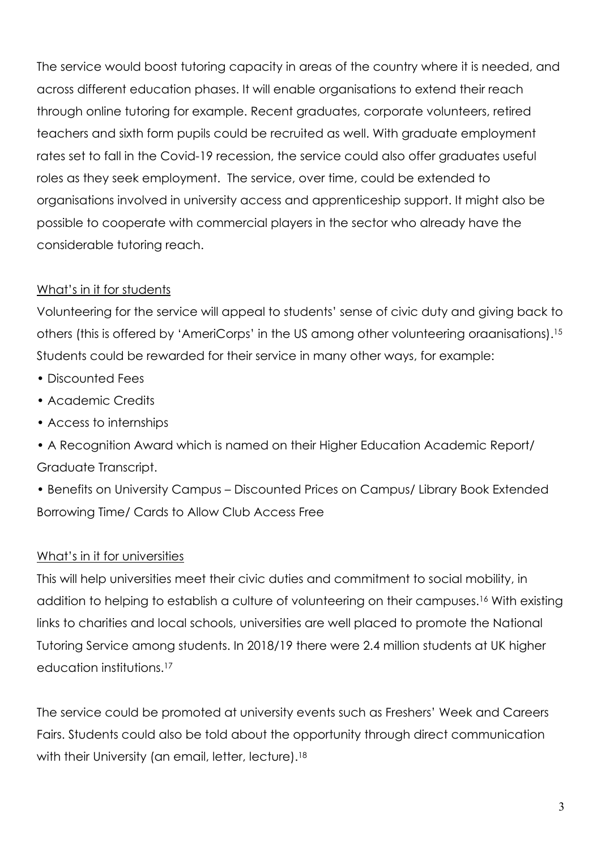The service would boost tutoring capacity in areas of the country where it is needed, and across different education phases. It will enable organisations to extend their reach through online tutoring for example. Recent graduates, corporate volunteers, retired teachers and sixth form pupils could be recruited as well. With graduate employment rates set to fall in the Covid-19 recession, the service could also offer graduates useful roles as they seek employment. The service, over time, could be extended to organisations involved in university access and apprenticeship support. It might also be possible to cooperate with commercial players in the sector who already have the considerable tutoring reach.

## What's in it for students

Volunteering for the service will appeal to students' sense of civic duty and giving back to others (this is offered by 'AmeriCorps' in the US among other volunteering oraanisations).15 Students could be rewarded for their service in many other ways, for example:

- Discounted Fees
- Academic Credits
- Access to internships
- A Recognition Award which is named on their Higher Education Academic Report/ Graduate Transcript.

• Benefits on University Campus – Discounted Prices on Campus/ Library Book Extended Borrowing Time/ Cards to Allow Club Access Free

## What's in it for universities

This will help universities meet their civic duties and commitment to social mobility, in addition to helping to establish a culture of volunteering on their campuses.16 With existing links to charities and local schools, universities are well placed to promote the National Tutoring Service among students. In 2018/19 there were 2.4 million students at UK higher education institutions.17

The service could be promoted at university events such as Freshers' Week and Careers Fairs. Students could also be told about the opportunity through direct communication with their University (an email, letter, lecture).<sup>18</sup>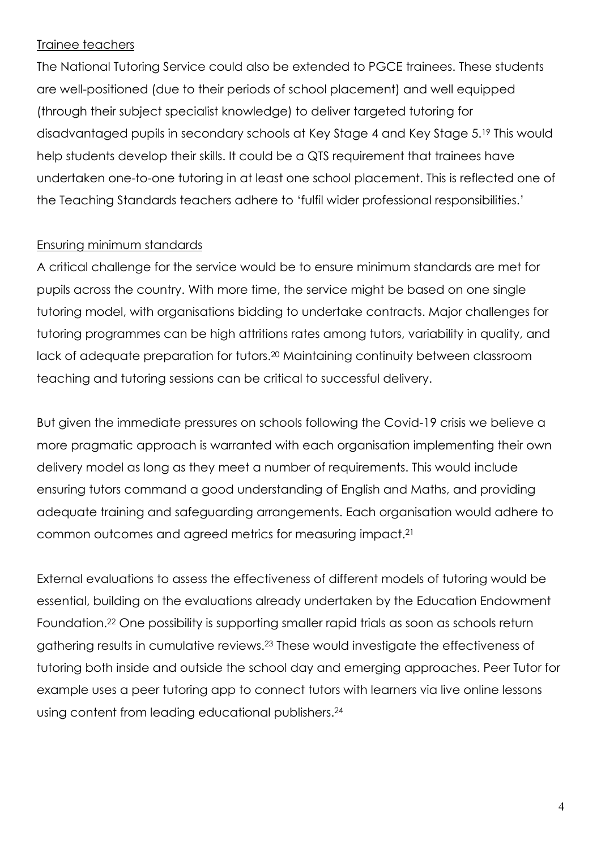#### Trainee teachers

The National Tutoring Service could also be extended to PGCE trainees. These students are well-positioned (due to their periods of school placement) and well equipped (through their subject specialist knowledge) to deliver targeted tutoring for disadvantaged pupils in secondary schools at Key Stage 4 and Key Stage 5.19 This would help students develop their skills. It could be a QTS requirement that trainees have undertaken one-to-one tutoring in at least one school placement. This is reflected one of the Teaching Standards teachers adhere to 'fulfil wider professional responsibilities.'

#### Ensuring minimum standards

A critical challenge for the service would be to ensure minimum standards are met for pupils across the country. With more time, the service might be based on one single tutoring model, with organisations bidding to undertake contracts. Major challenges for tutoring programmes can be high attritions rates among tutors, variability in quality, and lack of adequate preparation for tutors.20 Maintaining continuity between classroom teaching and tutoring sessions can be critical to successful delivery.

But given the immediate pressures on schools following the Covid-19 crisis we believe a more pragmatic approach is warranted with each organisation implementing their own delivery model as long as they meet a number of requirements. This would include ensuring tutors command a good understanding of English and Maths, and providing adequate training and safeguarding arrangements. Each organisation would adhere to common outcomes and agreed metrics for measuring impact.21

External evaluations to assess the effectiveness of different models of tutoring would be essential, building on the evaluations already undertaken by the Education Endowment Foundation.22 One possibility is supporting smaller rapid trials as soon as schools return gathering results in cumulative reviews.23 These would investigate the effectiveness of tutoring both inside and outside the school day and emerging approaches. Peer Tutor for example uses a peer tutoring app to connect tutors with learners via live online lessons using content from leading educational publishers.24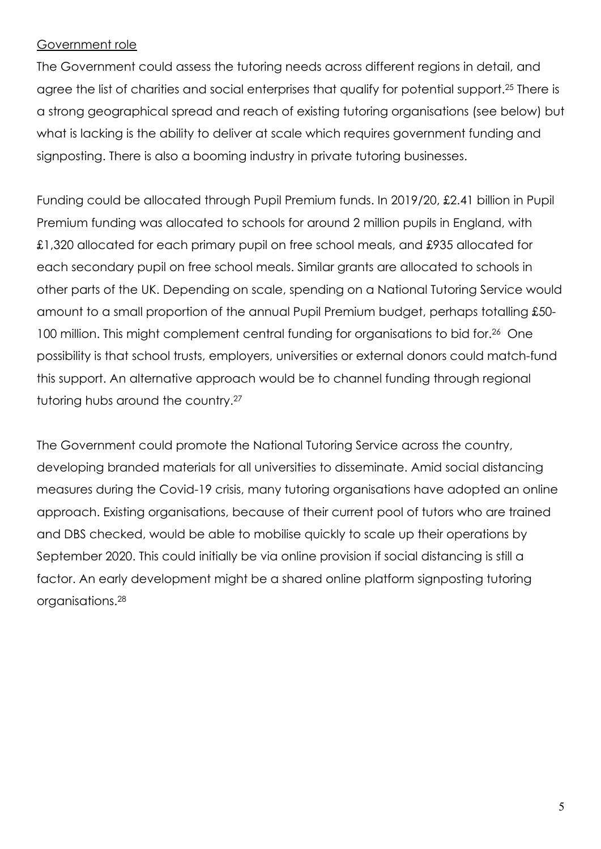#### Government role

The Government could assess the tutoring needs across different regions in detail, and agree the list of charities and social enterprises that qualify for potential support.25 There is a strong geographical spread and reach of existing tutoring organisations (see below) but what is lacking is the ability to deliver at scale which requires government funding and signposting. There is also a booming industry in private tutoring businesses.

Funding could be allocated through Pupil Premium funds. In 2019/20, £2.41 billion in Pupil Premium funding was allocated to schools for around 2 million pupils in England, with £1,320 allocated for each primary pupil on free school meals, and £935 allocated for each secondary pupil on free school meals. Similar grants are allocated to schools in other parts of the UK. Depending on scale, spending on a National Tutoring Service would amount to a small proportion of the annual Pupil Premium budget, perhaps totalling £50- 100 million. This might complement central funding for organisations to bid for.26 One possibility is that school trusts, employers, universities or external donors could match-fund this support. An alternative approach would be to channel funding through regional tutoring hubs around the country.27

The Government could promote the National Tutoring Service across the country, developing branded materials for all universities to disseminate. Amid social distancing measures during the Covid-19 crisis, many tutoring organisations have adopted an online approach. Existing organisations, because of their current pool of tutors who are trained and DBS checked, would be able to mobilise quickly to scale up their operations by September 2020. This could initially be via online provision if social distancing is still a factor. An early development might be a shared online platform signposting tutoring organisations.28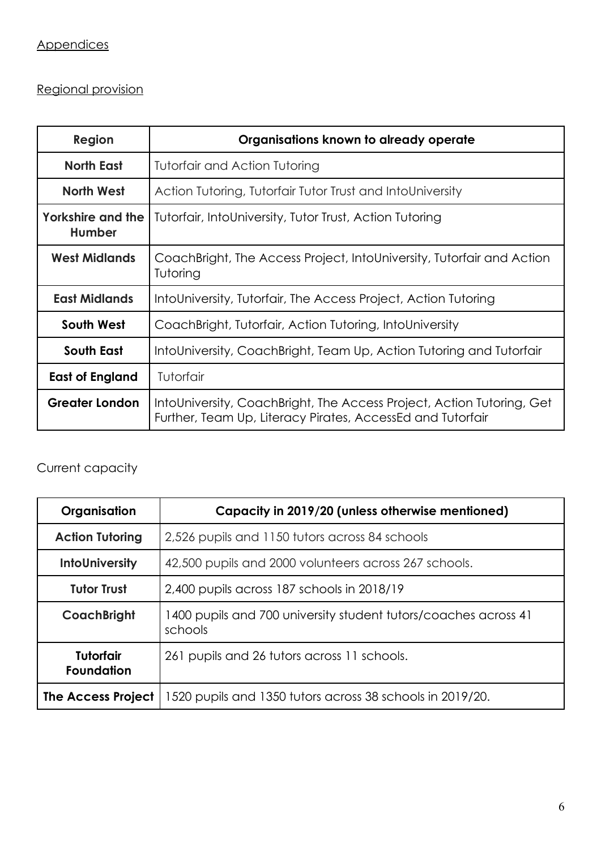# Regional provision

| Region                                    | Organisations known to already operate                                                                                              |
|-------------------------------------------|-------------------------------------------------------------------------------------------------------------------------------------|
| <b>North East</b>                         | Tutorfair and Action Tutoring                                                                                                       |
| North West                                | Action Tutoring, Tutorfair Tutor Trust and IntoUniversity                                                                           |
| <b>Yorkshire and the</b><br><b>Humber</b> | Tutorfair, IntoUniversity, Tutor Trust, Action Tutoring                                                                             |
| <b>West Midlands</b>                      | CoachBright, The Access Project, IntoUniversity, Tutorfair and Action<br>Tutoring                                                   |
| <b>East Midlands</b>                      | IntoUniversity, Tutorfair, The Access Project, Action Tutoring                                                                      |
| South West                                | CoachBright, Tutorfair, Action Tutoring, IntoUniversity                                                                             |
| South East                                | IntoUniversity, CoachBright, Team Up, Action Tutoring and Tutorfair                                                                 |
| <b>East of England</b>                    | Tutorfair                                                                                                                           |
| <b>Greater London</b>                     | IntoUniversity, CoachBright, The Access Project, Action Tutoring, Get<br>Further, Team Up, Literacy Pirates, AccessEd and Tutorfair |

## Current capacity

| Organisation                          | Capacity in 2019/20 (unless otherwise mentioned)                            |
|---------------------------------------|-----------------------------------------------------------------------------|
| <b>Action Tutoring</b>                | 2,526 pupils and 1150 tutors across 84 schools                              |
| <b>InfoUniversity</b>                 | 42,500 pupils and 2000 volunteers across 267 schools.                       |
| <b>Tutor Trust</b>                    | 2,400 pupils across 187 schools in 2018/19                                  |
| <b>CoachBright</b>                    | 1 400 pupils and 700 university student tutors/coaches across 41<br>schools |
| <b>Tutorfair</b><br><b>Foundation</b> | 261 pupils and 26 tutors across 11 schools.                                 |
| <b>The Access Project</b>             | 1520 pupils and 1350 tutors across 38 schools in 2019/20.                   |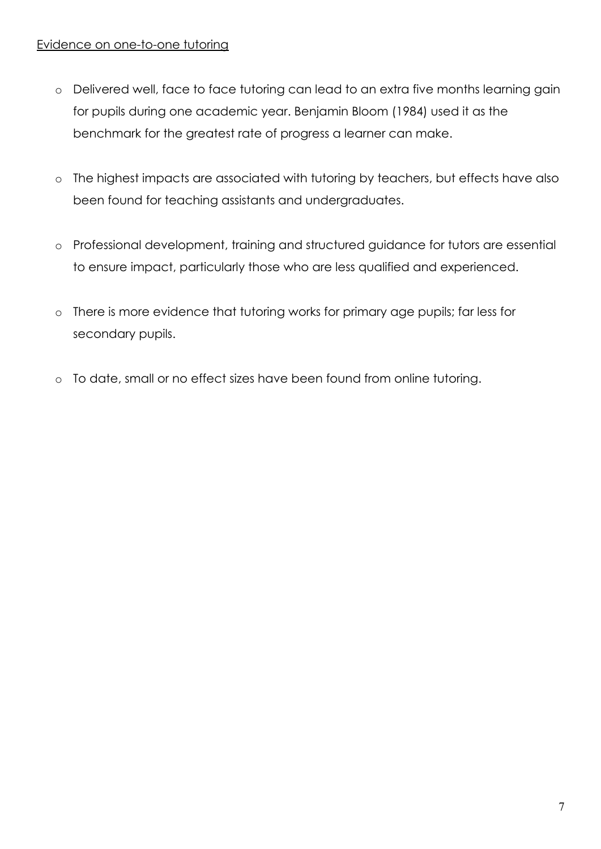#### Evidence on one-to-one tutoring

- o Delivered well, face to face tutoring can lead to an extra five months learning gain for pupils during one academic year. Benjamin Bloom (1984) used it as the benchmark for the greatest rate of progress a learner can make.
- o The highest impacts are associated with tutoring by teachers, but effects have also been found for teaching assistants and undergraduates.
- o Professional development, training and structured guidance for tutors are essential to ensure impact, particularly those who are less qualified and experienced.
- o There is more evidence that tutoring works for primary age pupils; far less for secondary pupils.
- o To date, small or no effect sizes have been found from online tutoring.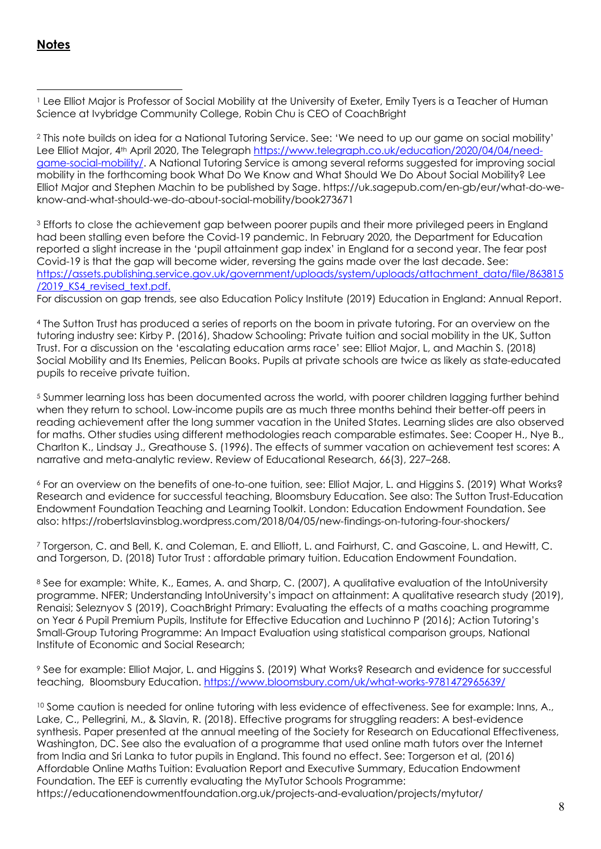#### **Notes**

<sup>1</sup> Lee Elliot Major is Professor of Social Mobility at the University of Exeter, Emily Tyers is a Teacher of Human Science at Ivybridge Community College, Robin Chu is CEO of CoachBright

<sup>2</sup> This note builds on idea for a National Tutoring Service. See: 'We need to up our game on social mobility' Lee Elliot Major, 4th April 2020, The Telegraph https://www.telegraph.co.uk/education/2020/04/04/needgame-social-mobility/. A National Tutoring Service is among several reforms suggested for improving social mobility in the forthcoming book What Do We Know and What Should We Do About Social Mobility? Lee Elliot Major and Stephen Machin to be published by Sage. https://uk.sagepub.com/en-gb/eur/what-do-weknow-and-what-should-we-do-about-social-mobility/book273671

<sup>3</sup> Efforts to close the achievement gap between poorer pupils and their more privileged peers in England had been stalling even before the Covid-19 pandemic. In February 2020, the Department for Education reported a slight increase in the 'pupil attainment gap index' in England for a second year. The fear post Covid-19 is that the gap will become wider, reversing the gains made over the last decade. See: https://assets.publishing.service.gov.uk/government/uploads/system/uploads/attachment\_data/file/863815 /2019\_KS4\_revised\_text.pdf.

For discussion on gap trends, see also Education Policy Institute (2019) Education in England: Annual Report.

<sup>4</sup> The Sutton Trust has produced a series of reports on the boom in private tutoring. For an overview on the tutoring industry see: Kirby P. (2016), Shadow Schooling: Private tuition and social mobility in the UK, Sutton Trust. For a discussion on the 'escalating education arms race' see: Elliot Major, L, and Machin S. (2018) Social Mobility and Its Enemies, Pelican Books. Pupils at private schools are twice as likely as state-educated pupils to receive private tuition.

<sup>5</sup> Summer learning loss has been documented across the world, with poorer children lagging further behind when they return to school. Low-income pupils are as much three months behind their better-off peers in reading achievement after the long summer vacation in the United States. Learning slides are also observed for maths. Other studies using different methodologies reach comparable estimates. See: Cooper H., Nye B., Charlton K., Lindsay J., Greathouse S. (1996). The effects of summer vacation on achievement test scores: A narrative and meta-analytic review. Review of Educational Research, 66(3), 227–268.

<sup>6</sup> For an overview on the benefits of one-to-one tuition, see: Elliot Major, L. and Higgins S. (2019) What Works? Research and evidence for successful teaching, Bloomsbury Education. See also: The Sutton Trust-Education Endowment Foundation Teaching and Learning Toolkit. London: Education Endowment Foundation. See also: https://robertslavinsblog.wordpress.com/2018/04/05/new-findings-on-tutoring-four-shockers/

<sup>7</sup> Torgerson, C. and Bell, K. and Coleman, E. and Elliott, L. and Fairhurst, C. and Gascoine, L. and Hewitt, C. and Torgerson, D. (2018) Tutor Trust : affordable primary tuition. Education Endowment Foundation.

<sup>8</sup> See for example: White, K., Eames, A. and Sharp, C. (2007), A qualitative evaluation of the IntoUniversity programme. NFER; Understanding IntoUniversity's impact on attainment: A qualitative research study (2019), Renaisi; Seleznyov S (2019), CoachBright Primary: Evaluating the effects of a maths coaching programme on Year 6 Pupil Premium Pupils, Institute for Effective Education and Luchinno P (2016); Action Tutoring's Small-Group Tutoring Programme: An Impact Evaluation using statistical comparison groups, National Institute of Economic and Social Research;

<sup>9</sup> See for example: Elliot Major, L. and Higgins S. (2019) What Works? Research and evidence for successful teaching, Bloomsbury Education. https://www.bloomsbury.com/uk/what-works-9781472965639/

<sup>10</sup> Some caution is needed for online tutoring with less evidence of effectiveness. See for example: Inns, A., Lake, C., Pellegrini, M., & Slavin, R. (2018). Effective programs for struggling readers: A best-evidence synthesis. Paper presented at the annual meeting of the Society for Research on Educational Effectiveness, Washington, DC. See also the evaluation of a programme that used online math tutors over the Internet from India and Sri Lanka to tutor pupils in England. This found no effect. See: Torgerson et al, (2016) Affordable Online Maths Tuition: Evaluation Report and Executive Summary, Education Endowment Foundation. The EEF is currently evaluating the MyTutor Schools Programme: https://educationendowmentfoundation.org.uk/projects-and-evaluation/projects/mytutor/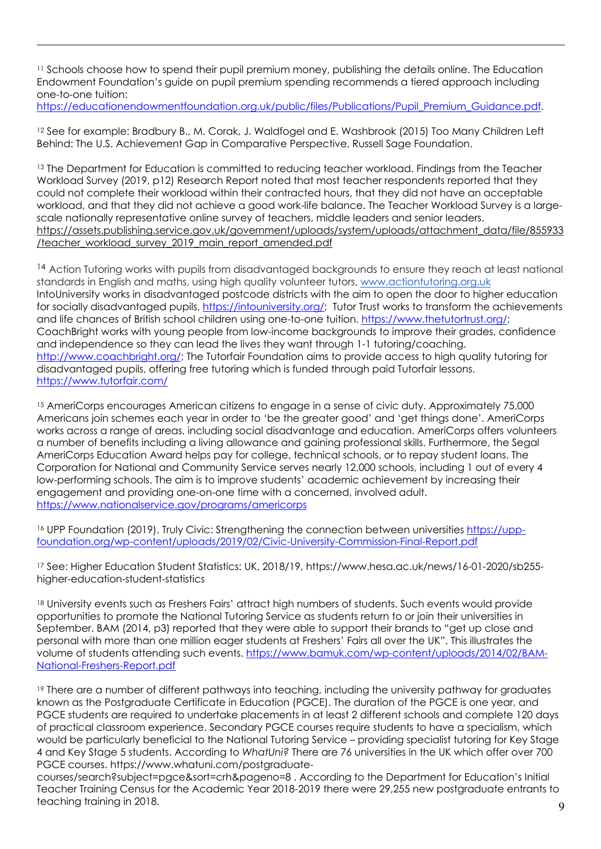<sup>11</sup> Schools choose how to spend their pupil premium money, publishing the details online. The Education Endowment Foundation's guide on pupil premium spending recommends a tiered approach including one-to-one tuition:

https://educationendowmentfoundation.org.uk/public/files/Publications/Pupil\_Premium\_Guidance.pdf.

<sup>12</sup> See for example: Bradbury B., M. Corak, J. Waldfogel and E. Washbrook (2015) Too Many Children Left Behind: The U.S. Achievement Gap in Comparative Perspective, Russell Sage Foundation.

<sup>13</sup> The Department for Education is committed to reducing teacher workload. Findings from the Teacher Workload Survey (2019, p12) Research Report noted that most teacher respondents reported that they could not complete their workload within their contracted hours, that they did not have an acceptable workload, and that they did not achieve a good work-life balance. The Teacher Workload Survey is a largescale nationally representative online survey of teachers, middle leaders and senior leaders. https://assets.publishing.service.gov.uk/government/uploads/system/uploads/attachment\_data/file/855933 /teacher\_workload\_survey\_2019\_main\_report\_amended.pdf

<sup>14</sup> Action Tutoring works with pupils from disadvantaged backgrounds to ensure they reach at least national standards in English and maths, using high quality volunteer tutors, www.actiontutoring.org.uk IntoUniversity works in disadvantaged postcode districts with the aim to open the door to higher education for socially disadvantaged pupils, https://intouniversity.org/; Tutor Trust works to transform the achievements and life chances of British school children using one-to-one tuition. https://www.thetutortrust.org/; CoachBright works with young people from low-income backgrounds to improve their grades, confidence and independence so they can lead the lives they want through 1-1 tutoring/coaching. http://www.coachbright.org/; The Tutorfair Foundation aims to provide access to high quality tutoring for disadvantaged pupils, offering free tutoring which is funded through paid Tutorfair lessons. https://www.tutorfair.com/

15 AmeriCorps encourages American citizens to engage in a sense of civic duty. Approximately 75,000 Americans join schemes each year in order to 'be the greater good' and 'get things done'. AmeriCorps works across a range of areas, including social disadvantage and education. AmeriCorps offers volunteers a number of benefits including a living allowance and gaining professional skills. Furthermore, the Segal AmeriCorps Education Award helps pay for college, technical schools, or to repay student loans. The Corporation for National and Community Service serves nearly 12,000 schools, including 1 out of every 4 low-performing schools. The aim is to improve students' academic achievement by increasing their engagement and providing one-on-one time with a concerned, involved adult. https://www.nationalservice.gov/programs/americorps

<sup>16</sup> UPP Foundation (2019), Truly Civic: Strengthening the connection between universities https://uppfoundation.org/wp-content/uploads/2019/02/Civic-University-Commission-Final-Report.pdf

<sup>17</sup> See: Higher Education Student Statistics: UK, 2018/19, https://www.hesa.ac.uk/news/16-01-2020/sb255 higher-education-student-statistics

18 University events such as Freshers Fairs' attract high numbers of students. Such events would provide opportunities to promote the National Tutoring Service as students return to or join their universities in September. BAM (2014, p3) reported that they were able to support their brands to "get up close and personal with more than one million eager students at Freshers' Fairs all over the UK". This illustrates the volume of students attending such events. https://www.bamuk.com/wp-content/uploads/2014/02/BAM-National-Freshers-Report.pdf

<sup>19</sup> There are a number of different pathways into teaching, including the university pathway for graduates known as the Postgraduate Certificate in Education (PGCE). The duration of the PGCE is one year, and PGCE students are required to undertake placements in at least 2 different schools and complete 120 days of practical classroom experience. Secondary PGCE courses require students to have a specialism, which would be particularly beneficial to the National Tutoring Service – providing specialist tutoring for Key Stage 4 and Key Stage 5 students. According to *WhatUni?* There are 76 universities in the UK which offer over 700 PGCE courses. https://www.whatuni.com/postgraduate-

courses/search?subject=pgce&sort=crh&pageno=8 . According to the Department for Education's Initial Teacher Training Census for the Academic Year 2018-2019 there were 29,255 new postgraduate entrants to teaching training in 2018.